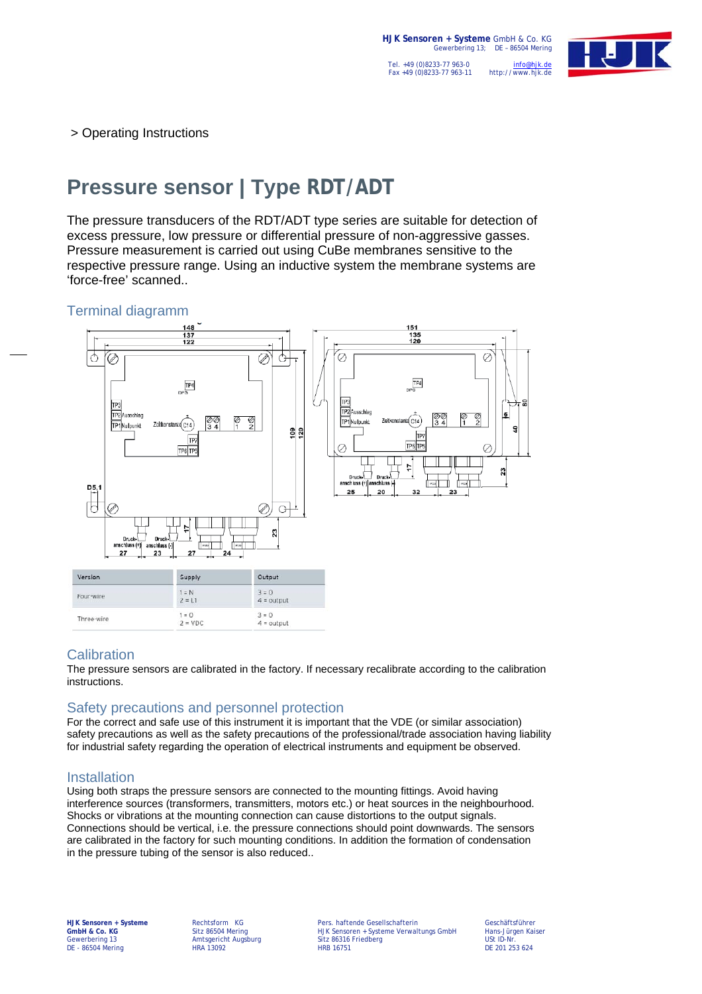

> Operating Instructions

# **Pressure sensor | Type RDT/ADT**

The pressure transducers of the RDT/ADT type series are suitable for detection of excess pressure, low pressure or differential pressure of non-aggressive gasses. Pressure measurement is carried out using CuBe membranes sensitive to the respective pressure range. Using an inductive system the membrane systems are 'force-free' scanned..

#### Terminal diagramm



## **Calibration**

The pressure sensors are calibrated in the factory. If necessary recalibrate according to the calibration instructions.

## Safety precautions and personnel protection

For the correct and safe use of this instrument it is important that the VDE (or similar association) safety precautions as well as the safety precautions of the professional/trade association having liability for industrial safety regarding the operation of electrical instruments and equipment be observed.

## Installation

Using both straps the pressure sensors are connected to the mounting fittings. Avoid having interference sources (transformers, transmitters, motors etc.) or heat sources in the neighbourhood. Shocks or vibrations at the mounting connection can cause distortions to the output signals. Connections should be vertical, i.e. the pressure connections should point downwards. The sensors are calibrated in the factory for such mounting conditions. In addition the formation of condensation in the pressure tubing of the sensor is also reduced..

DE - 86504 Mering

**HJK Sensoren + Systeme** Rechtsform KG Pers. haftende Gesellschafterin Geschäftsführer **GmbH & Co. KG** Sitz 86504 Mering HJK Sensoren + Systeme Verwaltungs GmbH Hans-Jürgen Kaiser Gewerbering 13 **Amtsgericht Augsburg Sitz 86316 Friedberg** Sitz 86316 Friedberg USt ID-Nr.<br>DE 201253 624 DE 201253 624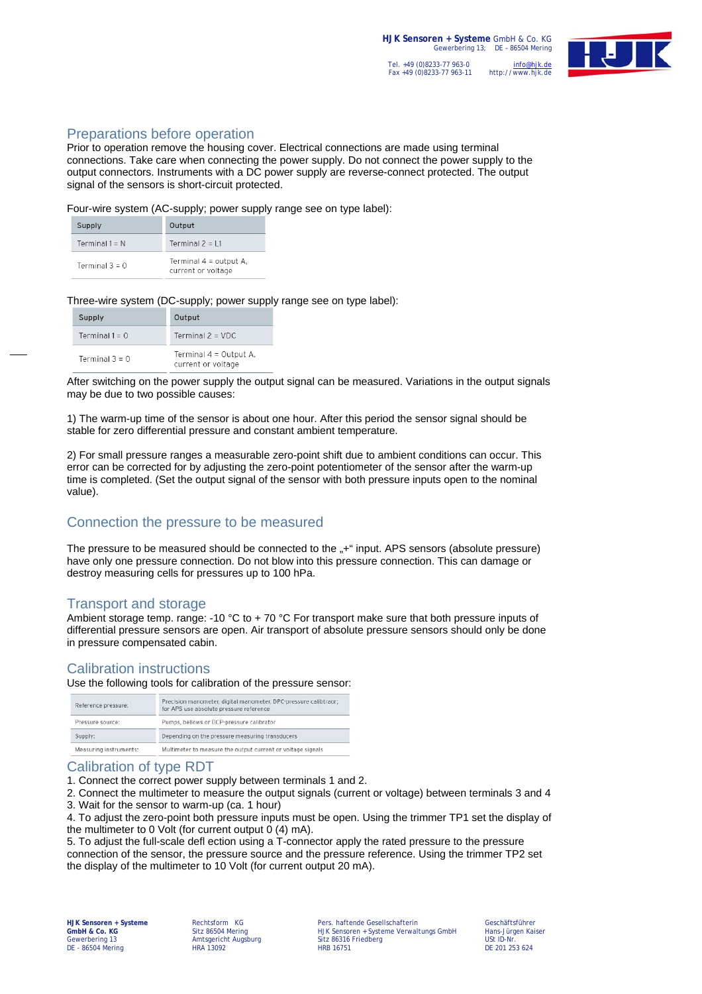# Preparations before operation

Prior to operation remove the housing cover. Electrical connections are made using terminal connections. Take care when connecting the power supply. Do not connect the power supply to the output connectors. Instruments with a DC power supply are reverse-connect protected. The output signal of the sensors is short-circuit protected.

Four-wire system (AC-supply; power supply range see on type label):

| Supply           | Output                                         |
|------------------|------------------------------------------------|
| Terminal $1 = N$ | Terminal $2 = \pm 1$                           |
| Terminal $3 = 0$ | Terminal $4 =$ output A,<br>current or voltage |

Three-wire system (DC-supply; power supply range see on type label):

| Supply           | Output                                       |
|------------------|----------------------------------------------|
| Terminal $1 = 0$ | Terminal $2 = VDC$                           |
| Terminal $3 = 0$ | Terminal 4 = Output A.<br>current or voltage |

After switching on the power supply the output signal can be measured. Variations in the output signals may be due to two possible causes:

1) The warm-up time of the sensor is about one hour. After this period the sensor signal should be stable for zero differential pressure and constant ambient temperature.

2) For small pressure ranges a measurable zero-point shift due to ambient conditions can occur. This error can be corrected for by adjusting the zero-point potentiometer of the sensor after the warm-up time is completed. (Set the output signal of the sensor with both pressure inputs open to the nominal value).

## Connection the pressure to be measured

The pressure to be measured should be connected to the "+" input. APS sensors (absolute pressure) have only one pressure connection. Do not blow into this pressure connection. This can damage or destroy measuring cells for pressures up to 100 hPa.

## Transport and storage

Ambient storage temp. range: -10 °C to + 70 °C For transport make sure that both pressure inputs of differential pressure sensors are open. Air transport of absolute pressure sensors should only be done in pressure compensated cabin.

## Calibration instructions

Use the following tools for calibration of the pressure sensor:

| Reference pressure:    | Precision manometer, digital manometer, DPC-pressure calibtraor;<br>for APS use absolute pressure reference |
|------------------------|-------------------------------------------------------------------------------------------------------------|
| Pressure source:       | Pumps, bellows or DCP-pressure calibrator                                                                   |
| Supply:                | Depending on the pressure measuring transducers                                                             |
| Measuring instruments: | Multimeter to measure the output current or voltage signals                                                 |

## Calibration of type RDT

1. Connect the correct power supply between terminals 1 and 2.

2. Connect the multimeter to measure the output signals (current or voltage) between terminals 3 and 4

3. Wait for the sensor to warm-up (ca. 1 hour)

4. To adjust the zero-point both pressure inputs must be open. Using the trimmer TP1 set the display of the multimeter to 0 Volt (for current output 0 (4) mA).

5. To adjust the full-scale defl ection using a T-connector apply the rated pressure to the pressure connection of the sensor, the pressure source and the pressure reference. Using the trimmer TP2 set the display of the multimeter to 10 Volt (for current output 20 mA).